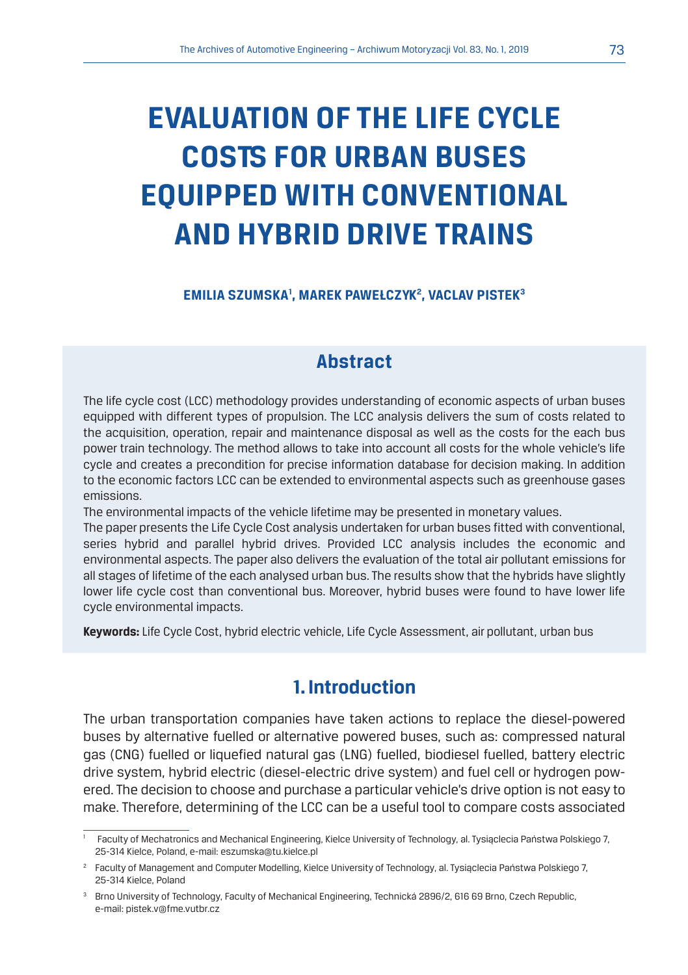# **EVALUATION OF THE LIFE CYCLE COSTS FOR URBAN BUSES EQUIPPED WITH CONVENTIONAL AND HYBRID DRIVE TRAINS**

#### **EMILIA SZUMSKA1 , MAREK PAWEŁCZYK2 , VACLAV PISTEK3**

### **Abstract**

The life cycle cost (LCC) methodology provides understanding of economic aspects of urban buses equipped with different types of propulsion. The LCC analysis delivers the sum of costs related to the acquisition, operation, repair and maintenance disposal as well as the costs for the each bus power train technology. The method allows to take into account all costs for the whole vehicle's life cycle and creates a precondition for precise information database for decision making. In addition to the economic factors LCC can be extended to environmental aspects such as greenhouse gases emissions.

The environmental impacts of the vehicle lifetime may be presented in monetary values.

The paper presents the Life Cycle Cost analysis undertaken for urban buses fitted with conventional, series hybrid and parallel hybrid drives. Provided LCC analysis includes the economic and environmental aspects. The paper also delivers the evaluation of the total air pollutant emissions for all stages of lifetime of the each analysed urban bus. The results show that the hybrids have slightly lower life cycle cost than conventional bus. Moreover, hybrid buses were found to have lower life cycle environmental impacts.

**Keywords:** Life Cycle Cost, hybrid electric vehicle, Life Cycle Assessment, air pollutant, urban bus

#### **1. Introduction**

The urban transportation companies have taken actions to replace the diesel-powered buses by alternative fuelled or alternative powered buses, such as: compressed natural gas (CNG) fuelled or liquefied natural gas (LNG) fuelled, biodiesel fuelled, battery electric drive system, hybrid electric (diesel-electric drive system) and fuel cell or hydrogen powered. The decision to choose and purchase a particular vehicle's drive option is not easy to make. Therefore, determining of the LCC can be a useful tool to compare costs associated

<sup>1</sup> Faculty of Mechatronics and Mechanical Engineering, Kielce University of Technology, al. Tysiąclecia Państwa Polskiego 7, 25-314 Kielce, Poland, e-mail: eszumska@tu.kielce.pl

<sup>2</sup> Faculty of Management and Computer Modelling, Kielce University of Technology, al. Tysiąclecia Państwa Polskiego 7, 25-314 Kielce, Poland

<sup>3</sup> Brno University of Technology, Faculty of Mechanical Engineering, Technická 2896/2, 616 69 Brno, Czech Republic, e-mail: pistek.v@fme.vutbr.cz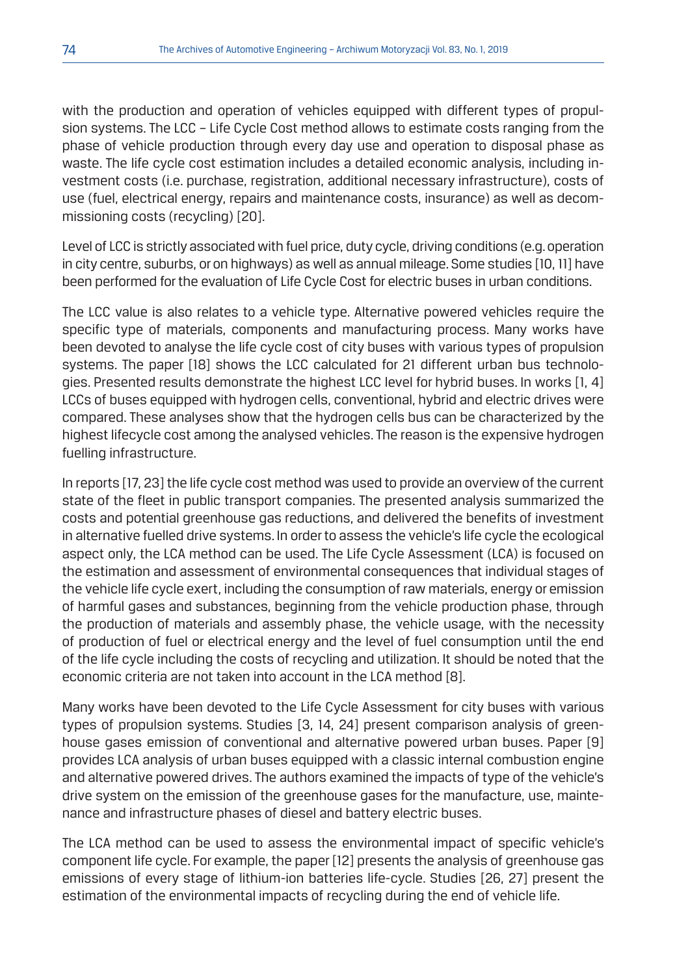with the production and operation of vehicles equipped with different types of propulsion systems. The LCC – Life Cycle Cost method allows to estimate costs ranging from the phase of vehicle production through every day use and operation to disposal phase as waste. The life cycle cost estimation includes a detailed economic analysis, including investment costs (i.e. purchase, registration, additional necessary infrastructure), costs of use (fuel, electrical energy, repairs and maintenance costs, insurance) as well as decommissioning costs (recycling) [20].

Level of LCC is strictly associated with fuel price, duty cycle, driving conditions (e.g. operation in city centre, suburbs, or on highways) as well as annual mileage. Some studies [10, 11] have been performed for the evaluation of Life Cycle Cost for electric buses in urban conditions.

The LCC value is also relates to a vehicle type. Alternative powered vehicles require the specific type of materials, components and manufacturing process. Many works have been devoted to analyse the life cycle cost of city buses with various types of propulsion systems. The paper [18] shows the LCC calculated for 21 different urban bus technologies. Presented results demonstrate the highest LCC level for hybrid buses. In works [1, 4] LCCs of buses equipped with hydrogen cells, conventional, hybrid and electric drives were compared. These analyses show that the hydrogen cells bus can be characterized by the highest lifecycle cost among the analysed vehicles. The reason is the expensive hydrogen fuelling infrastructure.

In reports [17, 23] the life cycle cost method was used to provide an overview of the current state of the fleet in public transport companies. The presented analysis summarized the costs and potential greenhouse gas reductions, and delivered the benefits of investment in alternative fuelled drive systems. In order to assess the vehicle's life cycle the ecological aspect only, the LCA method can be used. The Life Cycle Assessment (LCA) is focused on the estimation and assessment of environmental consequences that individual stages of the vehicle life cycle exert, including the consumption of raw materials, energy or emission of harmful gases and substances, beginning from the vehicle production phase, through the production of materials and assembly phase, the vehicle usage, with the necessity of production of fuel or electrical energy and the level of fuel consumption until the end of the life cycle including the costs of recycling and utilization. It should be noted that the economic criteria are not taken into account in the LCA method [8].

Many works have been devoted to the Life Cycle Assessment for city buses with various types of propulsion systems. Studies [3, 14, 24] present comparison analysis of greenhouse gases emission of conventional and alternative powered urban buses. Paper [9] provides LCA analysis of urban buses equipped with a classic internal combustion engine and alternative powered drives. The authors examined the impacts of type of the vehicle's drive system on the emission of the greenhouse gases for the manufacture, use, maintenance and infrastructure phases of diesel and battery electric buses.

The LCA method can be used to assess the environmental impact of specific vehicle's component life cycle. For example, the paper [12] presents the analysis of greenhouse gas emissions of every stage of lithium-ion batteries life-cycle. Studies [26, 27] present the estimation of the environmental impacts of recycling during the end of vehicle life.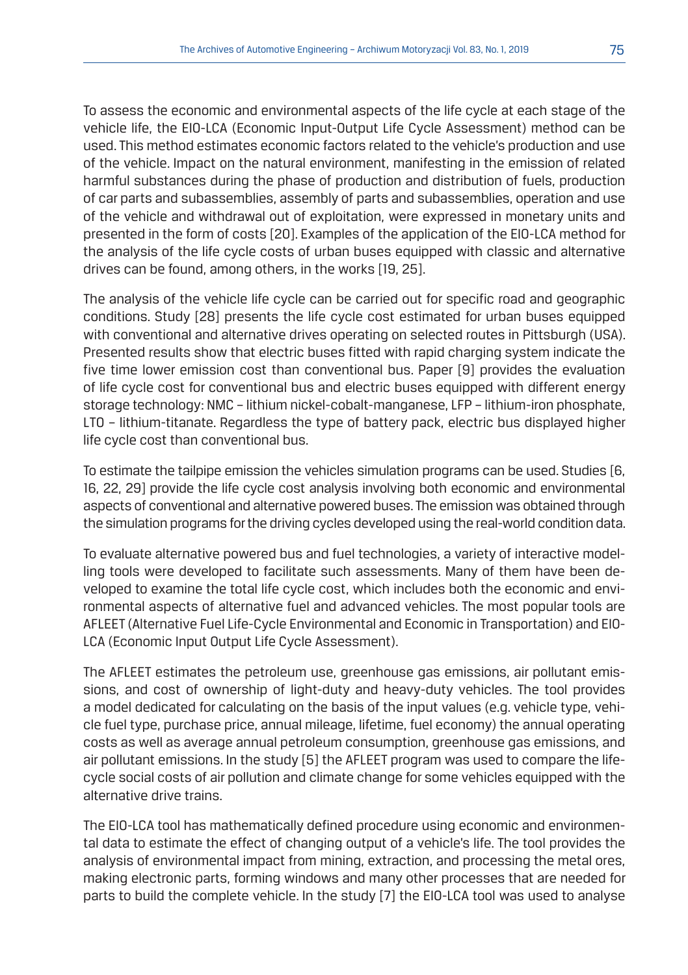To assess the economic and environmental aspects of the life cycle at each stage of the vehicle life, the EIO-LCA (Economic Input-Output Life Cycle Assessment) method can be used. This method estimates economic factors related to the vehicle's production and use of the vehicle. Impact on the natural environment, manifesting in the emission of related harmful substances during the phase of production and distribution of fuels, production of car parts and subassemblies, assembly of parts and subassemblies, operation and use of the vehicle and withdrawal out of exploitation, were expressed in monetary units and presented in the form of costs [20]. Examples of the application of the EIO-LCA method for the analysis of the life cycle costs of urban buses equipped with classic and alternative drives can be found, among others, in the works [19, 25].

The analysis of the vehicle life cycle can be carried out for specific road and geographic conditions. Study [28] presents the life cycle cost estimated for urban buses equipped with conventional and alternative drives operating on selected routes in Pittsburgh (USA). Presented results show that electric buses fitted with rapid charging system indicate the five time lower emission cost than conventional bus. Paper [9] provides the evaluation of life cycle cost for conventional bus and electric buses equipped with different energy storage technology: NMC – lithium nickel-cobalt-manganese, LFP – lithium-iron phosphate, LTO – lithium-titanate. Regardless the type of battery pack, electric bus displayed higher life cycle cost than conventional bus.

To estimate the tailpipe emission the vehicles simulation programs can be used. Studies [6, 16, 22, 29] provide the life cycle cost analysis involving both economic and environmental aspects of conventional and alternative powered buses. The emission was obtained through the simulation programs for the driving cycles developed using the real-world condition data.

To evaluate alternative powered bus and fuel technologies, a variety of interactive modelling tools were developed to facilitate such assessments. Many of them have been developed to examine the total life cycle cost, which includes both the economic and environmental aspects of alternative fuel and advanced vehicles. The most popular tools are AFLEET (Alternative Fuel Life-Cycle Environmental and Economic in Transportation) and EIO-LCA (Economic Input Output Life Cycle Assessment).

The AFLEET estimates the petroleum use, greenhouse gas emissions, air pollutant emissions, and cost of ownership of light-duty and heavy-duty vehicles. The tool provides a model dedicated for calculating on the basis of the input values (e.g. vehicle type, vehicle fuel type, purchase price, annual mileage, lifetime, fuel economy) the annual operating costs as well as average annual petroleum consumption, greenhouse gas emissions, and air pollutant emissions. In the study [5] the AFLEET program was used to compare the lifecycle social costs of air pollution and climate change for some vehicles equipped with the alternative drive trains.

The EIO-LCA tool has mathematically defined procedure using economic and environmental data to estimate the effect of changing output of a vehicle's life. The tool provides the analysis of environmental impact from mining, extraction, and processing the metal ores, making electronic parts, forming windows and many other processes that are needed for parts to build the complete vehicle. In the study [7] the EIO-LCA tool was used to analyse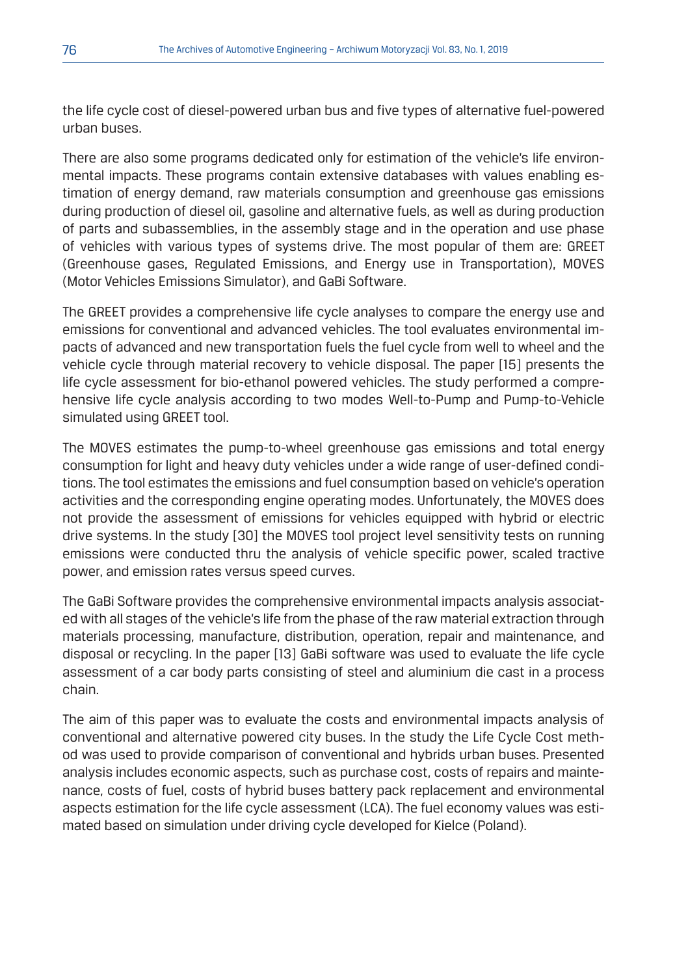the life cycle cost of diesel-powered urban bus and five types of alternative fuel-powered urban buses.

There are also some programs dedicated only for estimation of the vehicle's life environmental impacts. These programs contain extensive databases with values enabling estimation of energy demand, raw materials consumption and greenhouse gas emissions during production of diesel oil, gasoline and alternative fuels, as well as during production of parts and subassemblies, in the assembly stage and in the operation and use phase of vehicles with various types of systems drive. The most popular of them are: GREET (Greenhouse gases, Regulated Emissions, and Energy use in Transportation), MOVES (Motor Vehicles Emissions Simulator), and GaBi Software.

The GREET provides a comprehensive life cycle analyses to compare the energy use and emissions for conventional and advanced vehicles. The tool evaluates environmental impacts of advanced and new transportation fuels the fuel cycle from well to wheel and the vehicle cycle through material recovery to vehicle disposal. The paper [15] presents the life cycle assessment for bio-ethanol powered vehicles. The study performed a comprehensive life cycle analysis according to two modes Well-to-Pump and Pump-to-Vehicle simulated using GREET tool.

The MOVES estimates the pump-to-wheel greenhouse gas emissions and total energy consumption for light and heavy duty vehicles under a wide range of user-defined conditions. The tool estimates the emissions and fuel consumption based on vehicle's operation activities and the corresponding engine operating modes. Unfortunately, the MOVES does not provide the assessment of emissions for vehicles equipped with hybrid or electric drive systems. In the study [30] the MOVES tool project level sensitivity tests on running emissions were conducted thru the analysis of vehicle specific power, scaled tractive power, and emission rates versus speed curves.

The GaBi Software provides the comprehensive environmental impacts analysis associated with all stages of the vehicle's life from the phase of the raw material extraction through materials processing, manufacture, distribution, operation, repair and maintenance, and disposal or recycling. In the paper [13] GaBi software was used to evaluate the life cycle assessment of a car body parts consisting of steel and aluminium die cast in a process chain.

The aim of this paper was to evaluate the costs and environmental impacts analysis of conventional and alternative powered city buses. In the study the Life Cycle Cost method was used to provide comparison of conventional and hybrids urban buses. Presented analysis includes economic aspects, such as purchase cost, costs of repairs and maintenance, costs of fuel, costs of hybrid buses battery pack replacement and environmental aspects estimation for the life cycle assessment (LCA). The fuel economy values was estimated based on simulation under driving cycle developed for Kielce (Poland).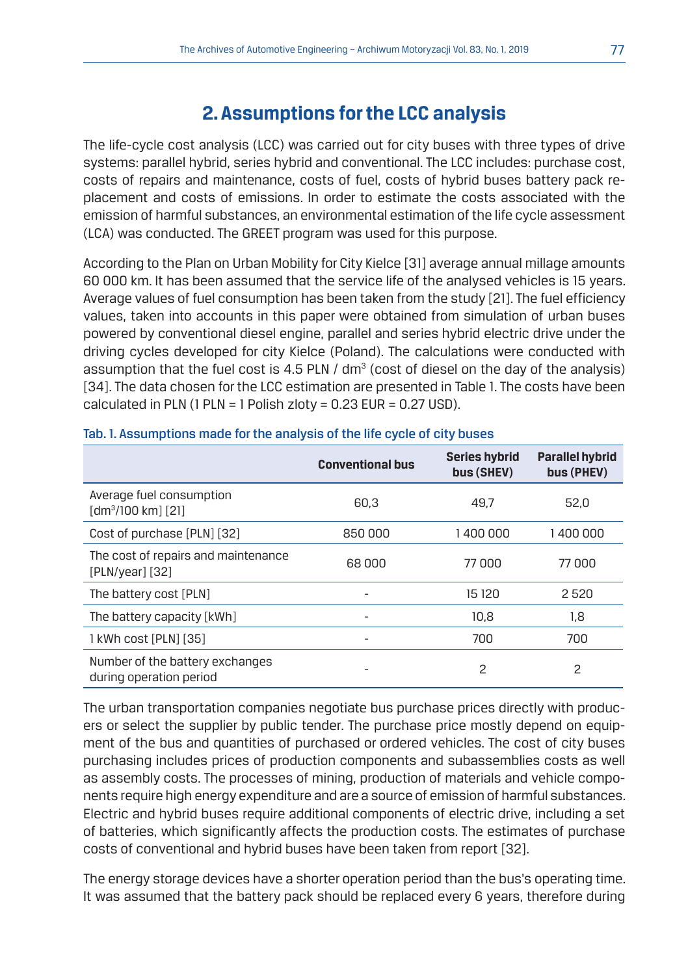#### **2. Assumptions for the LCC analysis**

The life-cycle cost analysis (LCC) was carried out for city buses with three types of drive systems: parallel hybrid, series hybrid and conventional. The LCC includes: purchase cost, costs of repairs and maintenance, costs of fuel, costs of hybrid buses battery pack replacement and costs of emissions. In order to estimate the costs associated with the emission of harmful substances, an environmental estimation of the life cycle assessment (LCA) was conducted. The GREET program was used for this purpose.

According to the Plan on Urban Mobility for City Kielce [31] average annual millage amounts 60 000 km. It has been assumed that the service life of the analysed vehicles is 15 years. Average values of fuel consumption has been taken from the study [21]. The fuel efficiency values, taken into accounts in this paper were obtained from simulation of urban buses powered by conventional diesel engine, parallel and series hybrid electric drive under the driving cycles developed for city Kielce (Poland). The calculations were conducted with assumption that the fuel cost is 4.5 PLN /  $dm^3$  (cost of diesel on the day of the analysis) [34]. The data chosen for the LCC estimation are presented in Table 1. The costs have been calculated in PLN (1 PLN = 1 Polish zloty =  $0.23$  EUR =  $0.27$  USD).

|                                                            | <b>Conventional bus</b> | <b>Series hybrid</b><br>bus (SHEV) | <b>Parallel hybrid</b><br>bus (PHEV) |
|------------------------------------------------------------|-------------------------|------------------------------------|--------------------------------------|
| Average fuel consumption<br>[dm <sup>3</sup> /100 km] [21] | 60.3                    | 49.7                               | 52,0                                 |
| Cost of purchase [PLN] [32]                                | 850000                  | 1400000                            | 1400000                              |
| The cost of repairs and maintenance<br>$[PLN/year]$ [32]   | 68 000                  | 77000                              | 77000                                |
| The battery cost [PLN]                                     |                         | 15 120                             | 2520                                 |
| The battery capacity [kWh]                                 | ۰                       | 10.8                               | 1,8                                  |
| 1 kWh cost [PLN] [35]                                      |                         | 700                                | 700                                  |
| Number of the battery exchanges<br>during operation period |                         | 2                                  | 2                                    |

#### Tab. 1. Assumptions made for the analysis of the life cycle of city buses

The urban transportation companies negotiate bus purchase prices directly with producers or select the supplier by public tender. The purchase price mostly depend on equipment of the bus and quantities of purchased or ordered vehicles. The cost of city buses purchasing includes prices of production components and subassemblies costs as well as assembly costs. The processes of mining, production of materials and vehicle components require high energy expenditure and are a source of emission of harmful substances. Electric and hybrid buses require additional components of electric drive, including a set of batteries, which significantly affects the production costs. The estimates of purchase costs of conventional and hybrid buses have been taken from report [32].

The energy storage devices have a shorter operation period than the bus's operating time. It was assumed that the battery pack should be replaced every 6 years, therefore during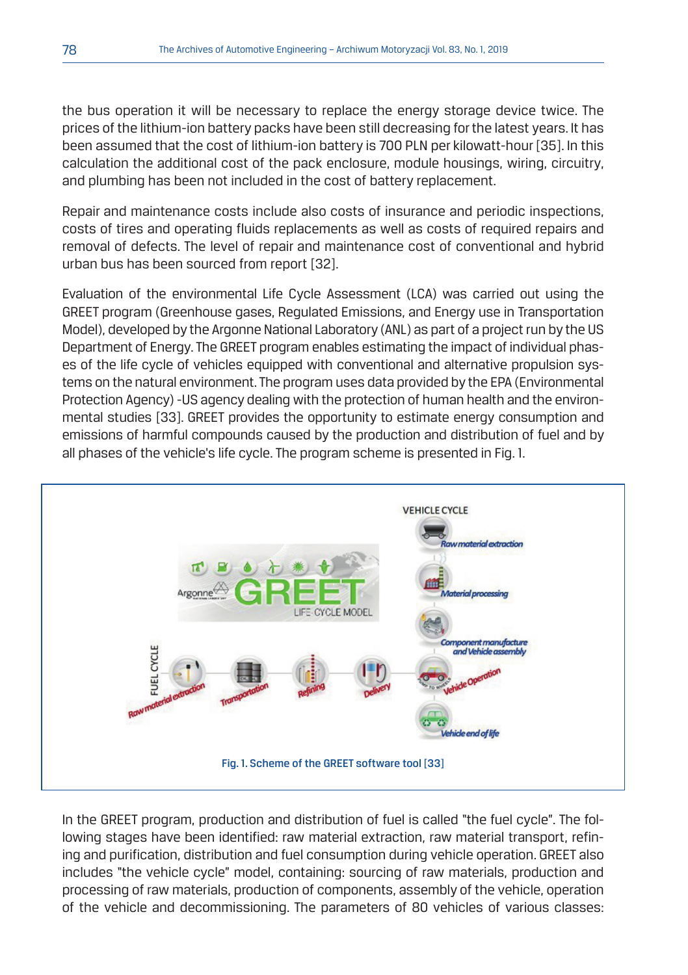the bus operation it will be necessary to replace the energy storage device twice. The prices of the lithium-ion battery packs have been still decreasing for the latest years. It has been assumed that the cost of lithium-ion battery is 700 PLN per kilowatt-hour [35]. In this calculation the additional cost of the pack enclosure, module housings, wiring, circuitry, and plumbing has been not included in the cost of battery replacement.

Repair and maintenance costs include also costs of insurance and periodic inspections, costs of tires and operating fluids replacements as well as costs of required repairs and removal of defects. The level of repair and maintenance cost of conventional and hybrid urban bus has been sourced from report [32].

Evaluation of the environmental Life Cycle Assessment (LCA) was carried out using the GREET program (Greenhouse gases, Regulated Emissions, and Energy use in Transportation Model), developed by the Argonne National Laboratory (ANL) as part of a project run by the US Department of Energy. The GREET program enables estimating the impact of individual phases of the life cycle of vehicles equipped with conventional and alternative propulsion systems on the natural environment. The program uses data provided by the EPA (Environmental Protection Agency) -US agency dealing with the protection of human health and the environmental studies [33]. GREET provides the opportunity to estimate energy consumption and emissions of harmful compounds caused by the production and distribution of fuel and by all phases of the vehicle's life cycle. The program scheme is presented in Fig. 1.



In the GREET program, production and distribution of fuel is called "the fuel cycle". The following stages have been identified: raw material extraction, raw material transport, refining and purification, distribution and fuel consumption during vehicle operation. GREET also includes "the vehicle cycle" model, containing: sourcing of raw materials, production and processing of raw materials, production of components, assembly of the vehicle, operation of the vehicle and decommissioning. The parameters of 80 vehicles of various classes: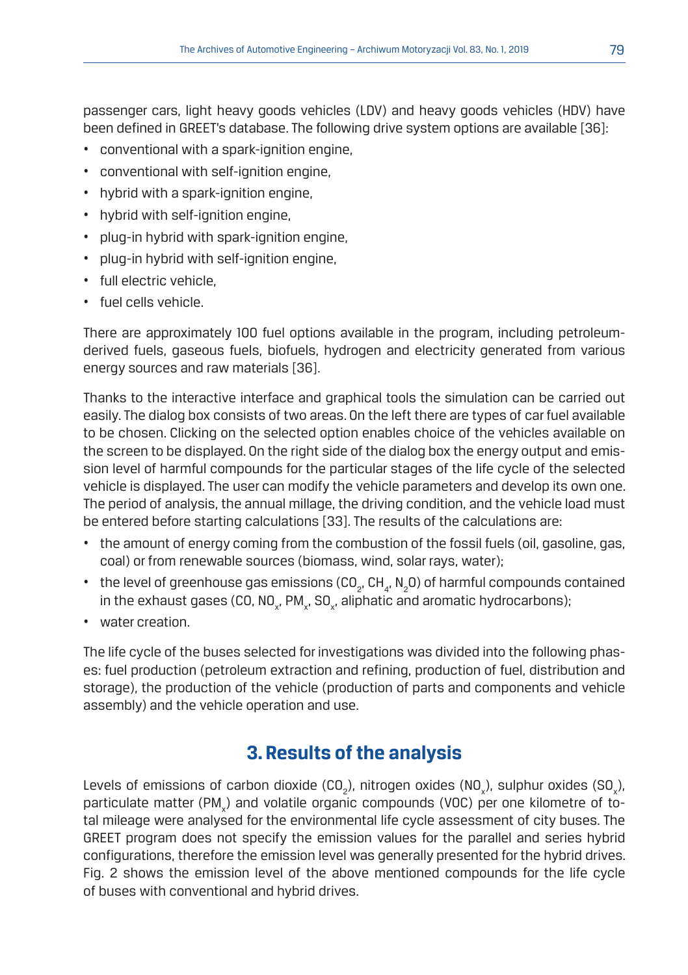passenger cars, light heavy goods vehicles (LDV) and heavy goods vehicles (HDV) have been defined in GREET's database. The following drive system options are available [36]:

- conventional with a spark-ignition engine,
- conventional with self-ignition engine,
- hybrid with a spark-ignition engine,
- hybrid with self-ignition engine,
- plug-in hybrid with spark-ignition engine,
- plug-in hybrid with self-ignition engine,
- full electric vehicle,
- fuel cells vehicle.

There are approximately 100 fuel options available in the program, including petroleumderived fuels, gaseous fuels, biofuels, hydrogen and electricity generated from various energy sources and raw materials [36].

Thanks to the interactive interface and graphical tools the simulation can be carried out easily. The dialog box consists of two areas. On the left there are types of car fuel available to be chosen. Clicking on the selected option enables choice of the vehicles available on the screen to be displayed. On the right side of the dialog box the energy output and emission level of harmful compounds for the particular stages of the life cycle of the selected vehicle is displayed. The user can modify the vehicle parameters and develop its own one. The period of analysis, the annual millage, the driving condition, and the vehicle load must be entered before starting calculations [33]. The results of the calculations are:

- the amount of energy coming from the combustion of the fossil fuels (oil, gasoline, gas, coal) or from renewable sources (biomass, wind, solar rays, water);
- the level of greenhouse gas emissions (CO<sub>2</sub>, CH<sub>4</sub>, N<sub>2</sub>O) of harmful compounds contained in the exhaust gases (CO, NO<sub>x</sub>, PM<sub>x</sub>, SO<sub>x</sub>, aliphatic and aromatic hydrocarbons);
- water creation.

The life cycle of the buses selected for investigations was divided into the following phases: fuel production (petroleum extraction and refining, production of fuel, distribution and storage), the production of the vehicle (production of parts and components and vehicle assembly) and the vehicle operation and use.

## **3. Results of the analysis**

Levels of emissions of carbon dioxide (CO<sub>2</sub>), nitrogen oxides (NO<sub>x</sub>), sulphur oxides (SO<sub>x</sub>), particulate matter (PM<sub>x</sub>) and volatile organic compounds (VOC) per one kilometre of total mileage were analysed for the environmental life cycle assessment of city buses. The GREET program does not specify the emission values for the parallel and series hybrid configurations, therefore the emission level was generally presented for the hybrid drives. Fig. 2 shows the emission level of the above mentioned compounds for the life cycle of buses with conventional and hybrid drives.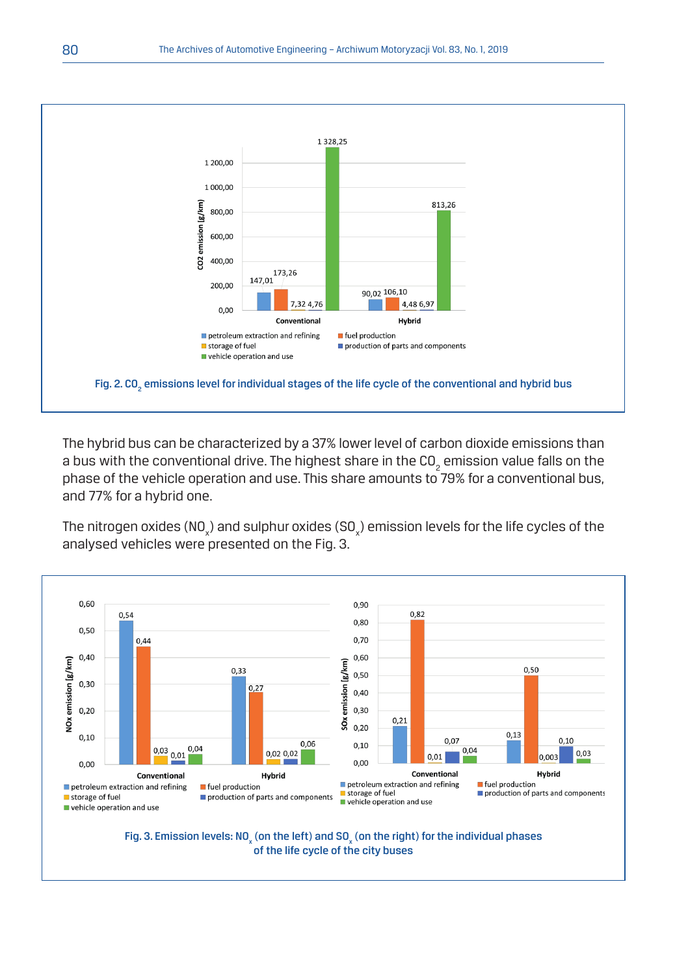

The hybrid bus can be characterized by a 37% lower level of carbon dioxide emissions than a bus with the conventional drive. The highest share in the CO $_{\tiny 2}$  emission value falls on the phase of the vehicle operation and use. This share amounts to 79% for a conventional bus, and 77% for a hybrid one.

The nitrogen oxides (NO $_{\mathrm{\chi}}$ ) and sulphur oxides (SO $_{\mathrm{\chi}}$ ) emission levels for the life cycles of the analysed vehicles were presented on the Fig. 3.



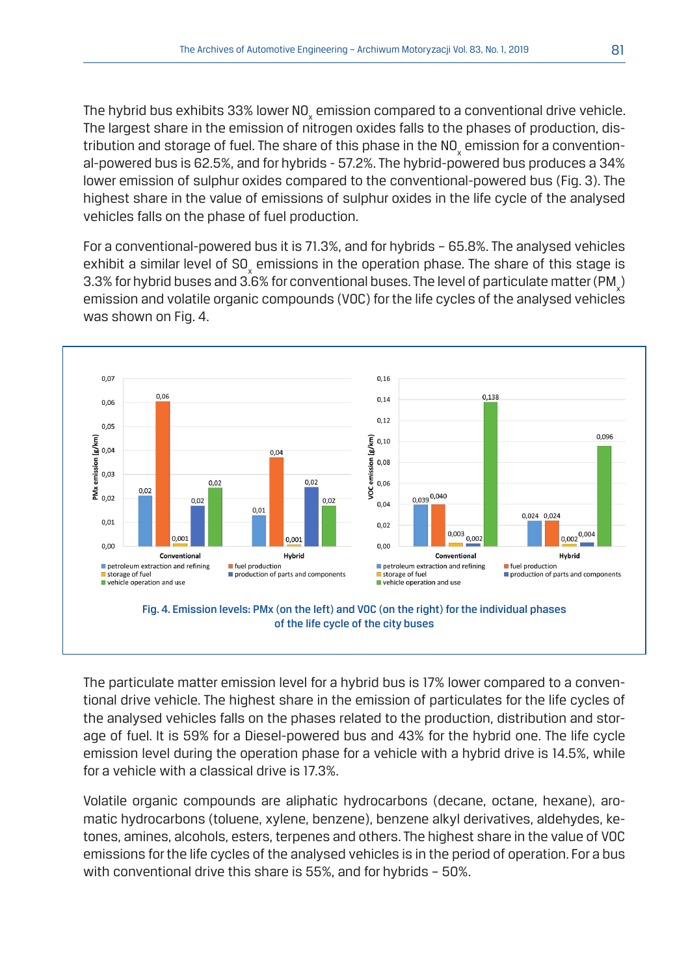The hybrid bus exhibits 33% lower NO $_{\rm x}$  emission compared to a conventional drive vehicle. The largest share in the emission of nitrogen oxides falls to the phases of production, distribution and storage of fuel. The share of this phase in the NO $_{\sf x}$  emission for a conventional-powered bus is 62.5%, and for hybrids - 57.2%. The hybrid-powered bus produces a 34% lower emission of sulphur oxides compared to the conventional-powered bus (Fig. 3). The highest share in the value of emissions of sulphur oxides in the life cycle of the analysed vehicles falls on the phase of fuel production.

For a conventional-powered bus it is 71.3%, and for hybrids – 65.8%. The analysed vehicles exhibit a similar level of SO<sub>x</sub> emissions in the operation phase. The share of this stage is 3.3% for hybrid buses and 3.6% for conventional buses. The level of particulate matter (PM $_{\mathrm{\star}}$ ) emission and volatile organic compounds (VOC) for the life cycles of the analysed vehicles was shown on Fig. 4.



The particulate matter emission level for a hybrid bus is 17% lower compared to a conventional drive vehicle. The highest share in the emission of particulates for the life cycles of the analysed vehicles falls on the phases related to the production, distribution and storage of fuel. It is 59% for a Diesel-powered bus and 43% for the hybrid one. The life cycle emission level during the operation phase for a vehicle with a hybrid drive is 14.5%, while for a vehicle with a classical drive is 17.3%.

Volatile organic compounds are aliphatic hydrocarbons (decane, octane, hexane), aromatic hydrocarbons (toluene, xylene, benzene), benzene alkyl derivatives, aldehydes, ketones, amines, alcohols, esters, terpenes and others. The highest share in the value of VOC emissions for the life cycles of the analysed vehicles is in the period of operation. For a bus with conventional drive this share is 55%, and for hybrids – 50%.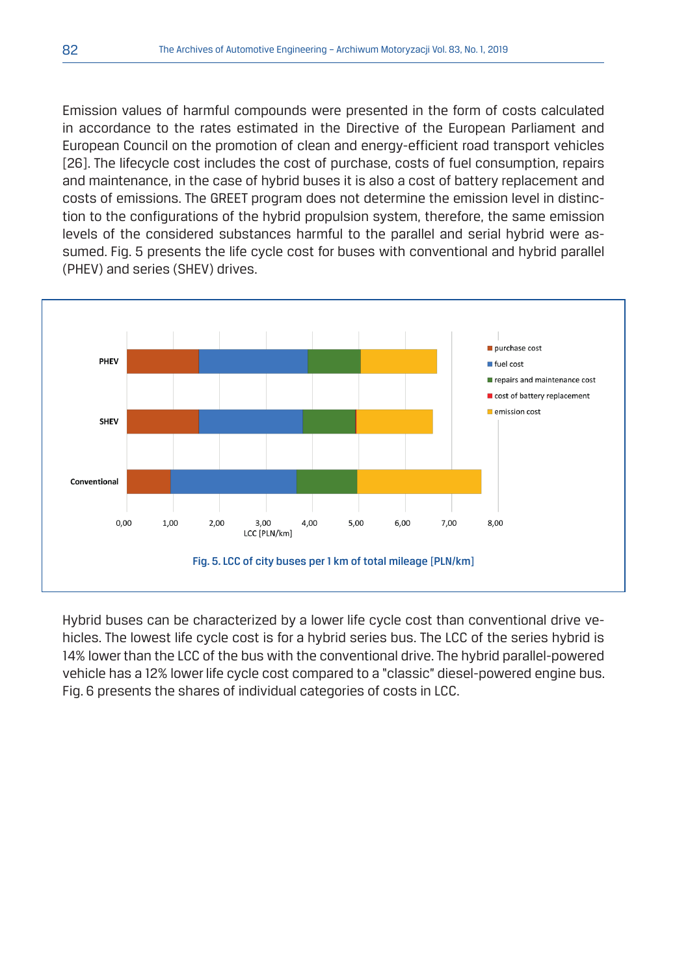Emission values of harmful compounds were presented in the form of costs calculated in accordance to the rates estimated in the Directive of the European Parliament and European Council on the promotion of clean and energy-efficient road transport vehicles [26]. The lifecycle cost includes the cost of purchase, costs of fuel consumption, repairs and maintenance, in the case of hybrid buses it is also a cost of battery replacement and costs of emissions. The GREET program does not determine the emission level in distinction to the configurations of the hybrid propulsion system, therefore, the same emission levels of the considered substances harmful to the parallel and serial hybrid were assumed. Fig. 5 presents the life cycle cost for buses with conventional and hybrid parallel (PHEV) and series (SHEV) drives.



Hybrid buses can be characterized by a lower life cycle cost than conventional drive vehicles. The lowest life cycle cost is for a hybrid series bus. The LCC of the series hybrid is 14% lower than the LCC of the bus with the conventional drive. The hybrid parallel-powered vehicle has a 12% lower life cycle cost compared to a "classic" diesel-powered engine bus. Fig. 6 presents the shares of individual categories of costs in LCC.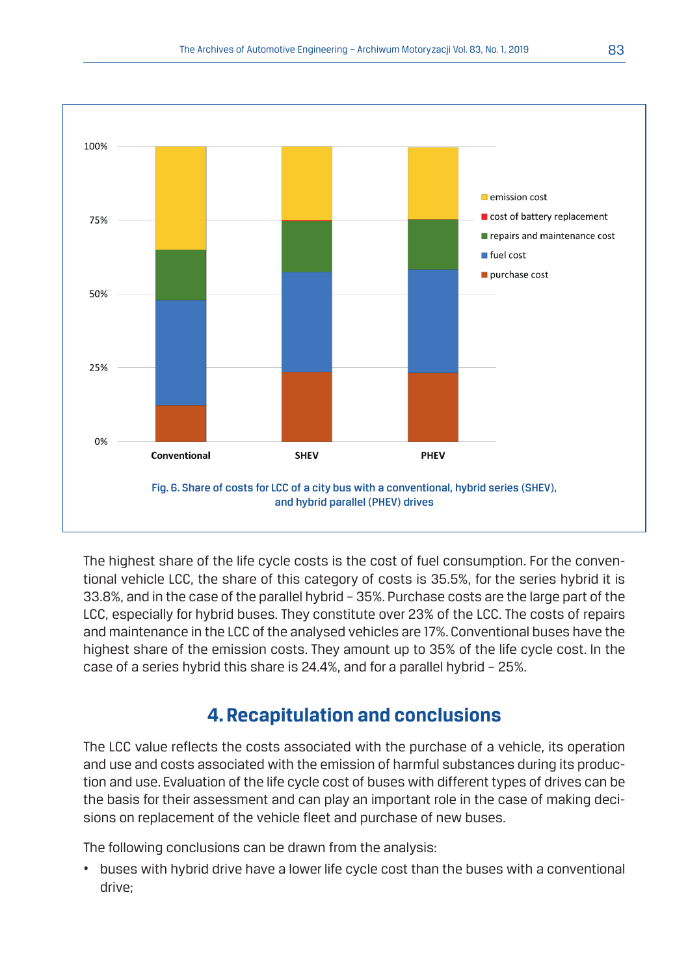

The highest share of the life cycle costs is the cost of fuel consumption. For the conventional vehicle LCC, the share of this category of costs is 35.5%, for the series hybrid it is 33.8%, and in the case of the parallel hybrid – 35%. Purchase costs are the large part of the LCC, especially for hybrid buses. They constitute over 23% of the LCC. The costs of repairs and maintenance in the LCC of the analysed vehicles are 17%. Conventional buses have the highest share of the emission costs. They amount up to 35% of the life cycle cost. In the case of a series hybrid this share is 24.4%, and for a parallel hybrid – 25%.

### **4. Recapitulation and conclusions**

The LCC value reflects the costs associated with the purchase of a vehicle, its operation and use and costs associated with the emission of harmful substances during its production and use. Evaluation of the life cycle cost of buses with different types of drives can be the basis for their assessment and can play an important role in the case of making decisions on replacement of the vehicle fleet and purchase of new buses.

The following conclusions can be drawn from the analysis:

• buses with hybrid drive have a lower life cycle cost than the buses with a conventional drive;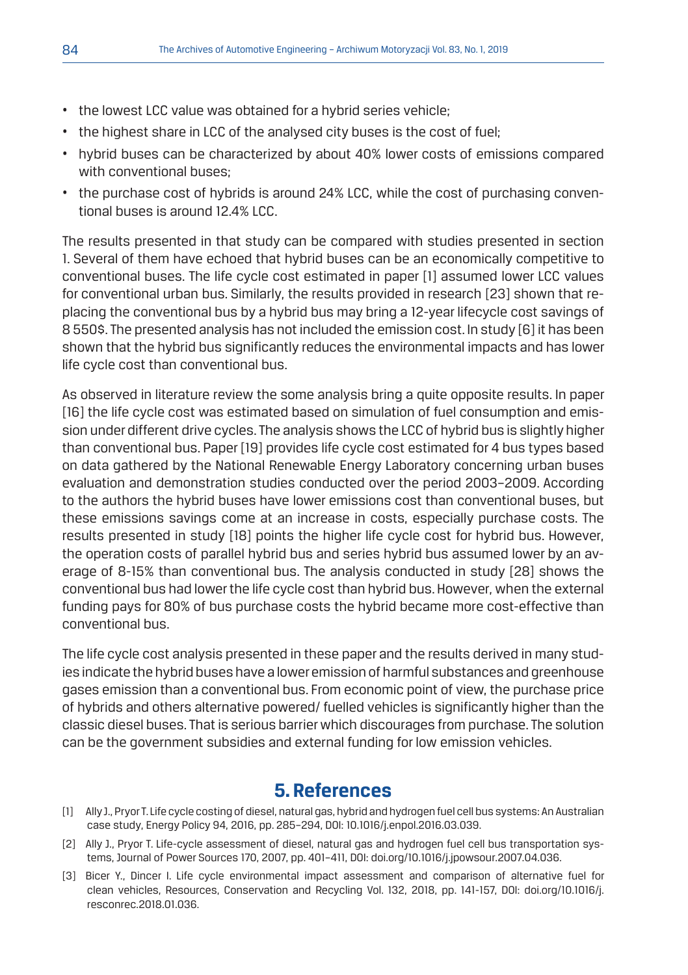- the lowest LCC value was obtained for a hybrid series vehicle;
- the highest share in LCC of the analysed city buses is the cost of fuel;
- hybrid buses can be characterized by about 40% lower costs of emissions compared with conventional buses;
- the purchase cost of hybrids is around 24% LCC, while the cost of purchasing conventional buses is around 12.4% LCC.

The results presented in that study can be compared with studies presented in section 1. Several of them have echoed that hybrid buses can be an economically competitive to conventional buses. The life cycle cost estimated in paper [1] assumed lower LCC values for conventional urban bus. Similarly, the results provided in research [23] shown that replacing the conventional bus by a hybrid bus may bring a 12-year lifecycle cost savings of 8 550\$. The presented analysis has not included the emission cost. In study [6] it has been shown that the hybrid bus significantly reduces the environmental impacts and has lower life cycle cost than conventional bus.

As observed in literature review the some analysis bring a quite opposite results. In paper [16] the life cycle cost was estimated based on simulation of fuel consumption and emission under different drive cycles. The analysis shows the LCC of hybrid bus is slightly higher than conventional bus. Paper [19] provides life cycle cost estimated for 4 bus types based on data gathered by the National Renewable Energy Laboratory concerning urban buses evaluation and demonstration studies conducted over the period 2003–2009. According to the authors the hybrid buses have lower emissions cost than conventional buses, but these emissions savings come at an increase in costs, especially purchase costs. The results presented in study [18] points the higher life cycle cost for hybrid bus. However, the operation costs of parallel hybrid bus and series hybrid bus assumed lower by an average of 8-15% than conventional bus. The analysis conducted in study [28] shows the conventional bus had lower the life cycle cost than hybrid bus. However, when the external funding pays for 80% of bus purchase costs the hybrid became more cost-effective than conventional bus.

The life cycle cost analysis presented in these paper and the results derived in many studies indicate the hybrid buses have a lower emission of harmful substances and greenhouse gases emission than a conventional bus. From economic point of view, the purchase price of hybrids and others alternative powered/ fuelled vehicles is significantly higher than the classic diesel buses. That is serious barrier which discourages from purchase. The solution can be the government subsidies and external funding for low emission vehicles.

#### **5. References**

- [1] Ally J., Pryor T. Life cycle costing of diesel, natural gas, hybrid and hydrogen fuel cell bus systems: An Australian case study, Energy Policy 94, 2016, pp. 285–294, DOI: 10.1016/j.enpol.2016.03.039.
- [2] Ally J., Pryor T. Life-cycle assessment of diesel, natural gas and hydrogen fuel cell bus transportation systems, Journal of Power Sources 170, 2007, pp. 401–411, DOI: doi.org/10.1016/j.jpowsour.2007.04.036.
- [3] Bicer Y., Dincer I. Life cycle environmental impact assessment and comparison of alternative fuel for clean vehicles, Resources, Conservation and Recycling Vol. 132, 2018, pp. 141-157, DOI: doi.org/10.1016/j. resconrec.2018.01.036.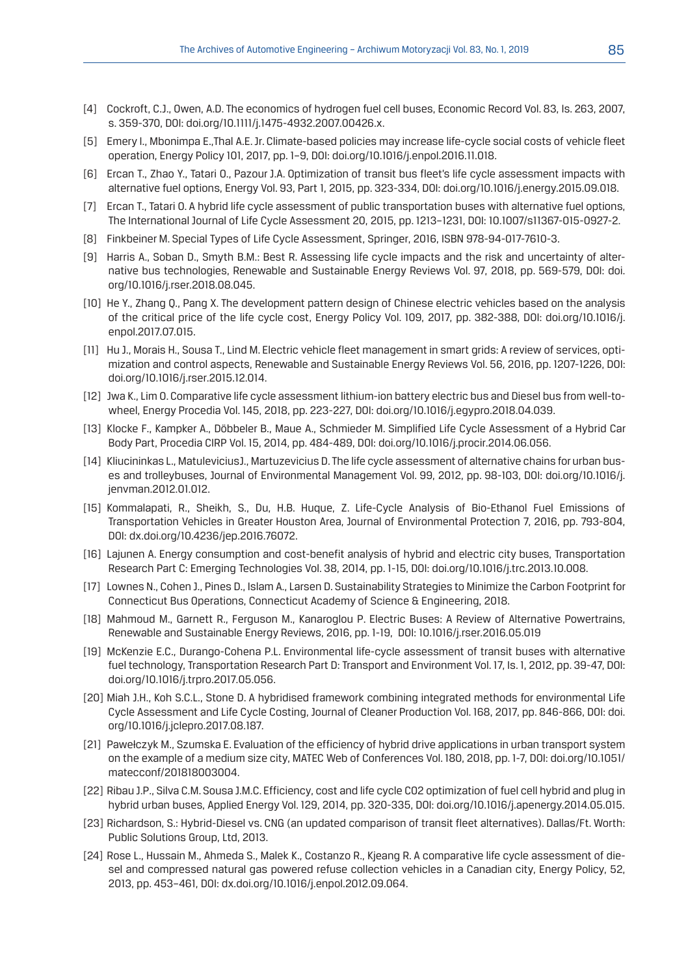- [4] Cockroft, C.J., Owen, A.D. The economics of hydrogen fuel cell buses, Economic Record Vol. 83, Is. 263, 2007, s. 359-370, DOI: doi.org/10.1111/j.1475-4932.2007.00426.x.
- [5] Emery I., Mbonimpa E.,Thal A.E. Jr. Climate-based policies may increase life-cycle social costs of vehicle fleet operation, Energy Policy 101, 2017, pp. 1–9, DOI: doi.org/10.1016/j.enpol.2016.11.018.
- [6] Ercan T., Zhao Y., Tatari O., Pazour J.A. Optimization of transit bus fleet's life cycle assessment impacts with alternative fuel options, Energy Vol. 93, Part 1, 2015, pp. 323-334, DOI: doi.org/10.1016/j.energy.2015.09.018.
- [7] Ercan T., Tatari O. A hybrid life cycle assessment of public transportation buses with alternative fuel options, The International Journal of Life Cycle Assessment 20, 2015, pp. 1213–1231, DOI: 10.1007/s11367-015-0927-2.
- [8] Finkbeiner M. Special Types of Life Cycle Assessment, Springer, 2016, ISBN 978-94-017-7610-3.
- [9] Harris A., Soban D., Smyth B.M.: Best R. Assessing life cycle impacts and the risk and uncertainty of alternative bus technologies, Renewable and Sustainable Energy Reviews Vol. 97, 2018, pp. 569-579, DOI: doi. org/10.1016/j.rser.2018.08.045.
- [10] He Y., Zhang Q., Pang X. The development pattern design of Chinese electric vehicles based on the analysis of the critical price of the life cycle cost, Energy Policy Vol. 109, 2017, pp. 382-388, DOI: doi.org/10.1016/j. enpol.2017.07.015.
- [11] Hu J., Morais H., Sousa T., Lind M. Electric vehicle fleet management in smart grids: A review of services, optimization and control aspects, Renewable and Sustainable Energy Reviews Vol. 56, 2016, pp. 1207-1226, DOI: doi.org/10.1016/j.rser.2015.12.014.
- [12] Jwa K., Lim O. Comparative life cycle assessment lithium-ion battery electric bus and Diesel bus from well-towheel, Energy Procedia Vol. 145, 2018, pp. 223-227, DOI: doi.org/10.1016/j.egypro.2018.04.039.
- [13] Klocke F., Kampker A., Döbbeler B., Maue A., Schmieder M. Simplified Life Cycle Assessment of a Hybrid Car Body Part, Procedia CIRP Vol. 15, 2014, pp. 484-489, DOI: doi.org/10.1016/j.procir.2014.06.056.
- [14] Kliucininkas L., MatuleviciusJ., Martuzevicius D. The life cycle assessment of alternative chains for urban buses and trolleybuses, Journal of Environmental Management Vol. 99, 2012, pp. 98-103, DOI: doi.org/10.1016/j. jenvman.2012.01.012.
- [15] Kommalapati, R., Sheikh, S., Du, H.B. Huque, Z. Life-Cycle Analysis of Bio-Ethanol Fuel Emissions of Transportation Vehicles in Greater Houston Area, Journal of Environmental Protection 7, 2016, pp. 793-804, DOI: dx.doi.org/10.4236/jep.2016.76072.
- [16] Lajunen A. Energy consumption and cost-benefit analysis of hybrid and electric city buses, Transportation Research Part C: Emerging Technologies Vol. 38, 2014, pp. 1-15, DOI: doi.org/10.1016/j.trc.2013.10.008.
- [17] Lownes N., Cohen J., Pines D., Islam A., Larsen D. Sustainability Strategies to Minimize the Carbon Footprint for Connecticut Bus Operations, Connecticut Academy of Science & Engineering, 2018.
- [18] Mahmoud M., Garnett R., Ferguson M., Kanaroglou P. Electric Buses: A Review of Alternative Powertrains, Renewable and Sustainable Energy Reviews, 2016, pp. 1-19, DOI: 10.1016/j.rser.2016.05.019
- [19] McKenzie E.C., Durango-Cohena P.L. Environmental life-cycle assessment of transit buses with alternative fuel technology, Transportation Research Part D: Transport and Environment Vol. 17, Is. 1, 2012, pp. 39-47, DOI: doi.org/10.1016/j.trpro.2017.05.056.
- [20] Miah J.H., Koh S.C.L., Stone D. A hybridised framework combining integrated methods for environmental Life Cycle Assessment and Life Cycle Costing, Journal of Cleaner Production Vol. 168, 2017, pp. 846-866, DOI: doi. org/10.1016/j.jclepro.2017.08.187.
- [21] Pawełczyk M., Szumska E. Evaluation of the efficiency of hybrid drive applications in urban transport system on the example of a medium size city, MATEC Web of Conferences Vol. 180, 2018, pp. 1-7, DOI: doi.org/10.1051/ matecconf/201818003004.
- [22] Ribau J.P., Silva C.M. Sousa J.M.C. Efficiency, cost and life cycle CO2 optimization of fuel cell hybrid and plug in hybrid urban buses, Applied Energy Vol. 129, 2014, pp. 320-335, DOI: doi.org/10.1016/j.apenergy.2014.05.015.
- [23] Richardson, S.: Hybrid-Diesel vs. CNG (an updated comparison of transit fleet alternatives). Dallas/Ft. Worth: Public Solutions Group, Ltd, 2013.
- [24] Rose L., Hussain M., Ahmeda S., Malek K., Costanzo R., Kjeang R. A comparative life cycle assessment of diesel and compressed natural gas powered refuse collection vehicles in a Canadian city, Energy Policy, 52, 2013, pp. 453–461, DOI: dx.doi.org/10.1016/j.enpol.2012.09.064.